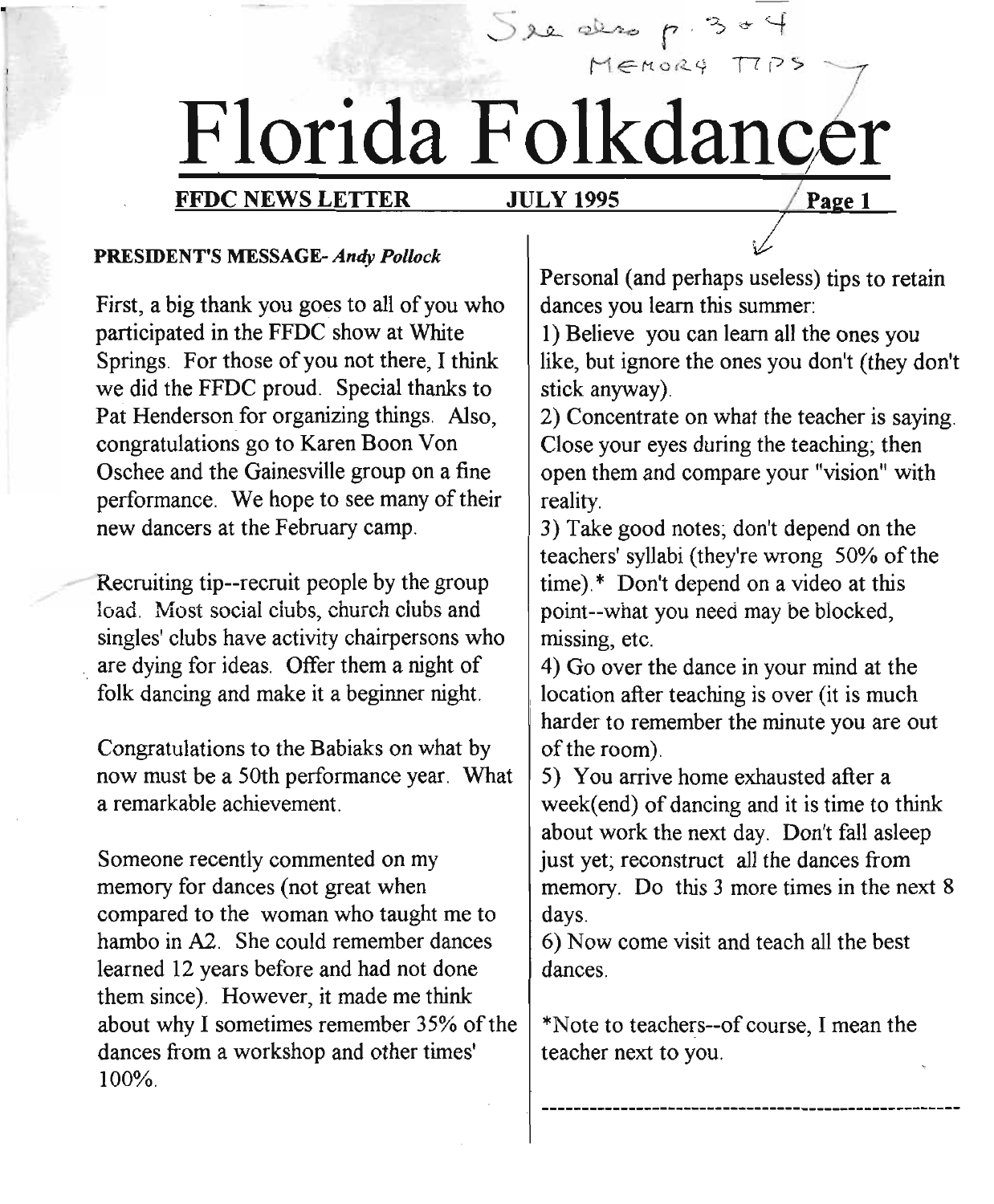# use p. 30 1 Florida Folkdancer

### FFDC NEWS LETTER JULY 1995

 $5x + 2x - 5 = 4$ 

Page 1

#### PRESIDENT'S MESSAGE- *Andy Pollock*

First, a big thank you goes to all of you who participated in the FFDC show at White Springs. For those of you not there, I think we did the FFDC proud. Special thanks to Pat Henderson for organizing things. Also, congratulations go to Karen Boon Von Oschee and the Gainesville group on a fine performance. We hope to see many of their new dancers at the February camp.

Recruiting tip--recruit people by the group load. Most social dubs, church dubs and singles' clubs have activity chairpersons who are dying for ideas. Offer them a night of folk dancing and make it a beginner night.

Congratulations to the Babiaks on what by now must be a 50th performance year. What a remarkable achievement.

Someone recently commented on my memory for dances (not great when compared to the woman who taught me to hambo in A2. She could remember dances learned 12 years before and had not done them since). However, it made me think about why I sometimes remember 35% of the dances from a workshop and other times' 100%.

Personal (and perhaps useless) tips to retain dances you learn this summer:

1) Believe you can learn all the ones you like, but ignore the ones you don't (they don't stick anyway).

2) Concentrate on what the teacher is saying. Close your eyes during the teaching; then open them and compare your "vision" with reality.

3) Take good notes; don't depend on the teachers' syllabi (they're wrong 50% of the time).\* Don't depend on a video at this . point--what you need may be blocked, missing, etc.

4) Go over the dance in your mind at the location after teaching is over (it is much harder to remember the minute you are out of the room).

5) You arrive home exhausted after a week(end) of dancing and it is time to think about work the next day. Don't fall asleep just yet; reconstruct all the dances from memory. Do this 3 more times in the next 8 days.

6) Now come visit and teach all the best dances.

\*Note to teachers--of course, Imean the teacher next to you.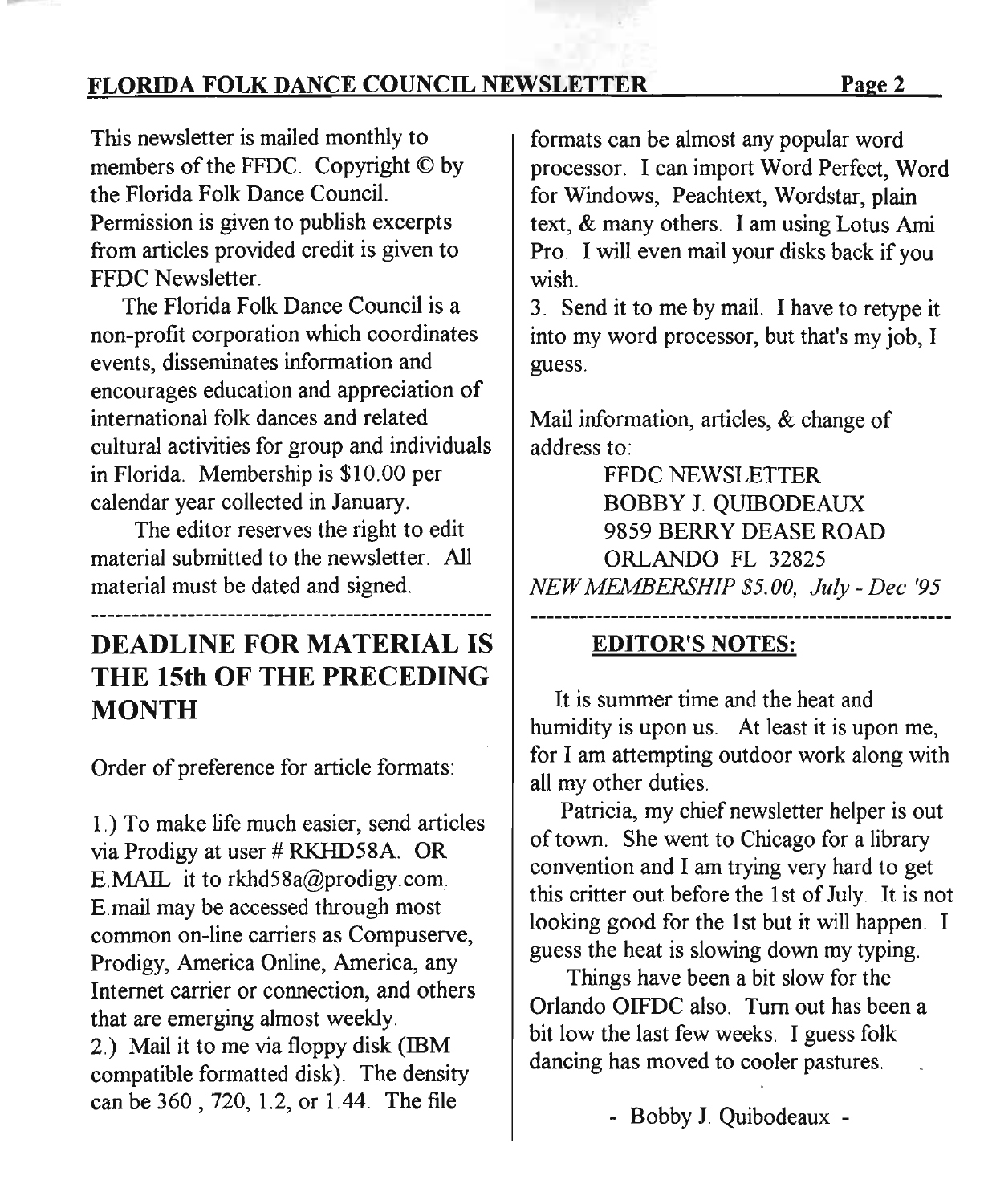FLORIDA FOLK DANCE COUNCIL NEWSLETTER Page 2

This newsletter is mailed monthly to members of the FFDC. Copyright © by the Florida Folk Dance Council. Permission is given to publish excerpts from articles provided credit is given to FFDC Newsletter.

The Florida Folk Dance Council is a non-profit corporation which coordinates events, disseminates information and encourages education and appreciation of international folk dances and related cultural activities for group and individuals in Florida. Membership is \$10.00 per calendar year collected in January.

The editor reserves the right to edit material submitted to the newsletter. All material must be dated and signed.

### DEADLINE FOR MATERIAL IS THE 15th OF THE PRECEDING **MONTH**

Order of preference for article formats:

1.) To make life much easier, send articles via Prodigy at user # RKHD58A. OR E.MAIL it to rkhd58a@prodigy.com. E.mail may be accessed through most common on-line carriers as Compuserve, Prodigy, America Online, America, any Internet carrier or connection, and others that are emerging almost weekly. 2.) Mail it to me via floppy disk (IBM compatible formatted disk). The density can be 360 , 720, 1.2, or 1.44. The file

formats can be almost any popular word processor. I can import Word Perfect, Word for Windows, Peachtext, Wordstar, plain text, & many others. I am using Lotus Ami Pro. I will even mail your disks back if you wish.

3. Send it to me by mail. I have to retype it into my word processor, but that's my job, I guess.

Mail information, articles, & change of address to:

FFDC NEWSLETTER BOBBY J. QUIBODEAUX 9859 BERRY DEASE ROAD ORLANDO FL 32825 *NEW MEMBERSHIP \$5.00, July - Dee '95*

### EDITOR'S NOTES:

It is summer time and the heat and humidity is upon us. At least it is upon me, for I am attempting outdoor work along with all my other duties.

Patricia, my chief newsletter helper is out of town. She went to Chicago for a library convention and I am trying very hard to get this critter out before the 1st of July. It is not looking good for the 1st but it will happen. I guess the heat is slowing down my typing.

Things have been a bit slow for the Orlando OIFDC also. Turn out has been a bit low the last few weeks. I guess folk dancing has moved to cooler pastures.

- Bobby J. Quibodeaux -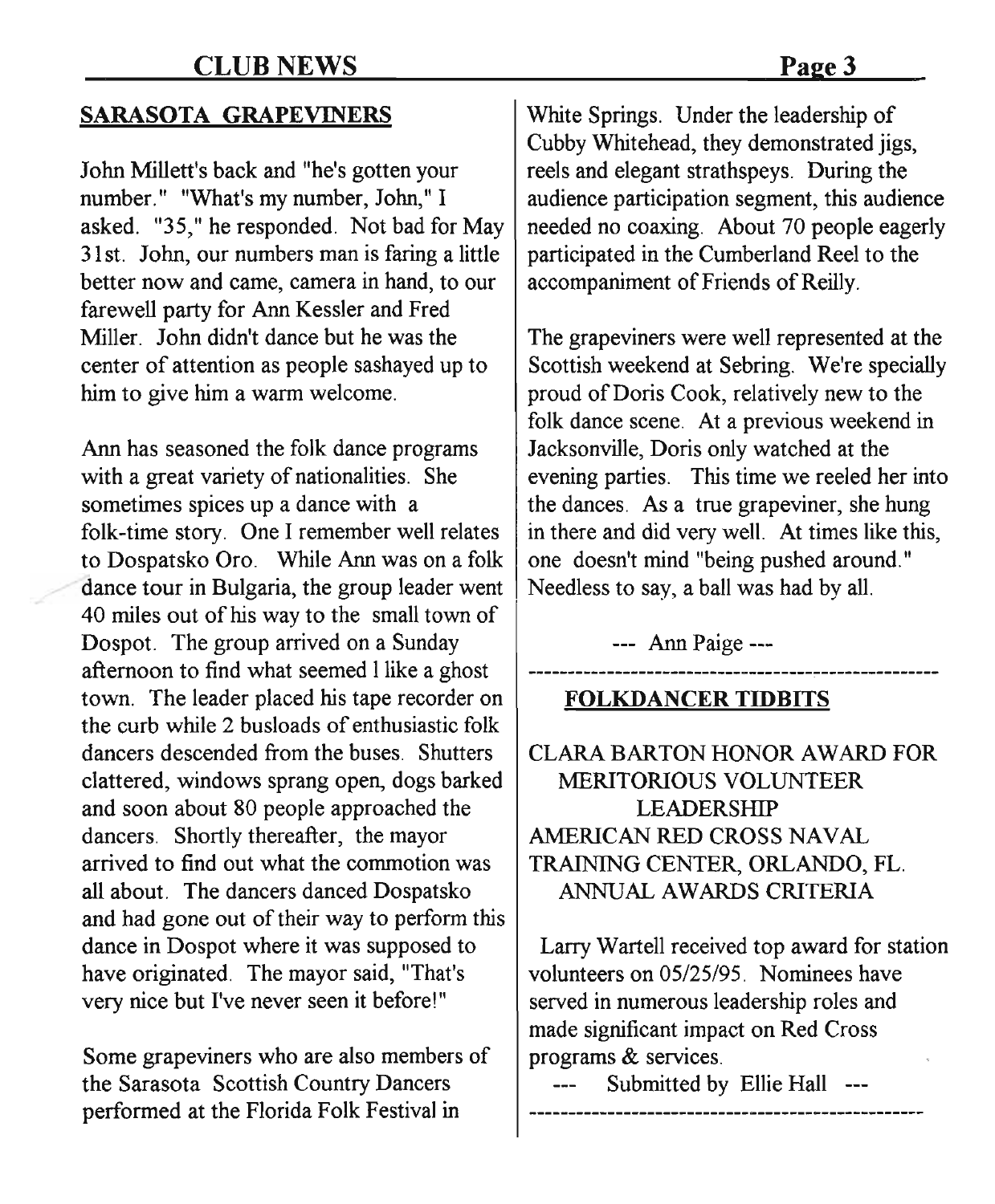### **SARASOTA GRAPEVINERS**

John Millett's back and "he's gotten your number." "What's my number, John," I asked. "35," he responded. Not bad for May 31 st. John, our numbers man is faring a little better now and came, camera in hand, to our farewell party for Ann Kessler and Fred Miller. John didn't dance but he was the center of attention as people sashayed up to him to give him a warm welcome.

Ann has seasoned the folk dance programs Jacksonville, Doris only watched at the with a great variety of nationalities. She evening parties. This time we reeled her into sometimes spices up a dance with  $\alpha$  the dances. As a true grapeviner, she hung folk-time story. One I remember well relates  $\parallel$  in there and did very well. At times like this, to Dospatsko Oro. While Ann was on a folk  $\vert$  one doesn't mind "being pushed around." dance tour in Bulgaria, the group leader went  $\vert$  Needless to say, a ball was had by all. 40 miles out of his way to the small town of Dospot. The group arrived on a Sunday afternoon to find what seemed I like a ghost town. The leader placed his tape recorder on the curb while 2 busloads of enthusiastic folk dancers descended from the buses. Shutters clattered, windows sprang open, dogs barked and soon about 80 people approached the dancers. Shortly thereafter, the mayor arrived to find out what the commotion was all about. The dancers danced Dospatsko and had gone out of their way to perform this dance in Dospot where it was supposed to have originated. The mayor said, "That's very nice but I've never seen it before!"

Some grapeviners who are also members of the Sarasota Scottish Country Dancers performed at the Florida Folk Festival in

White Springs. Under the leadership of Cubby Whitehead, they demonstrated jigs, reels and elegant strathspeys. During the audience participation segment, this audience needed no coaxing. About 70 people eagerly participated in the Cumberland Reel to the accompaniment of Friends of Reilly.

The grapeviners were well represented at the Scottish weekend at Sebring. We're specially proud of Doris Cook, relatively new to the folk dance scene. At a previous weekend in

--- Ann Paige ---

**FOLKDANCER TIDBITS**

CLARA BARTON HONOR AWARD FOR MERITORIOUS VOLUNTEER LEADERSHIP AMERICAN RED CROSS NAVAL TRAINING CENTER, ORLANDO, FL. ANNUAL AWARDS CRITERIA

Larry Wartell received top award for station volunteers on OS/25/95. Nominees have served in numerous leadership roles and made significant impact on Red Cross programs & services.

Submitted by Ellie HaIl ---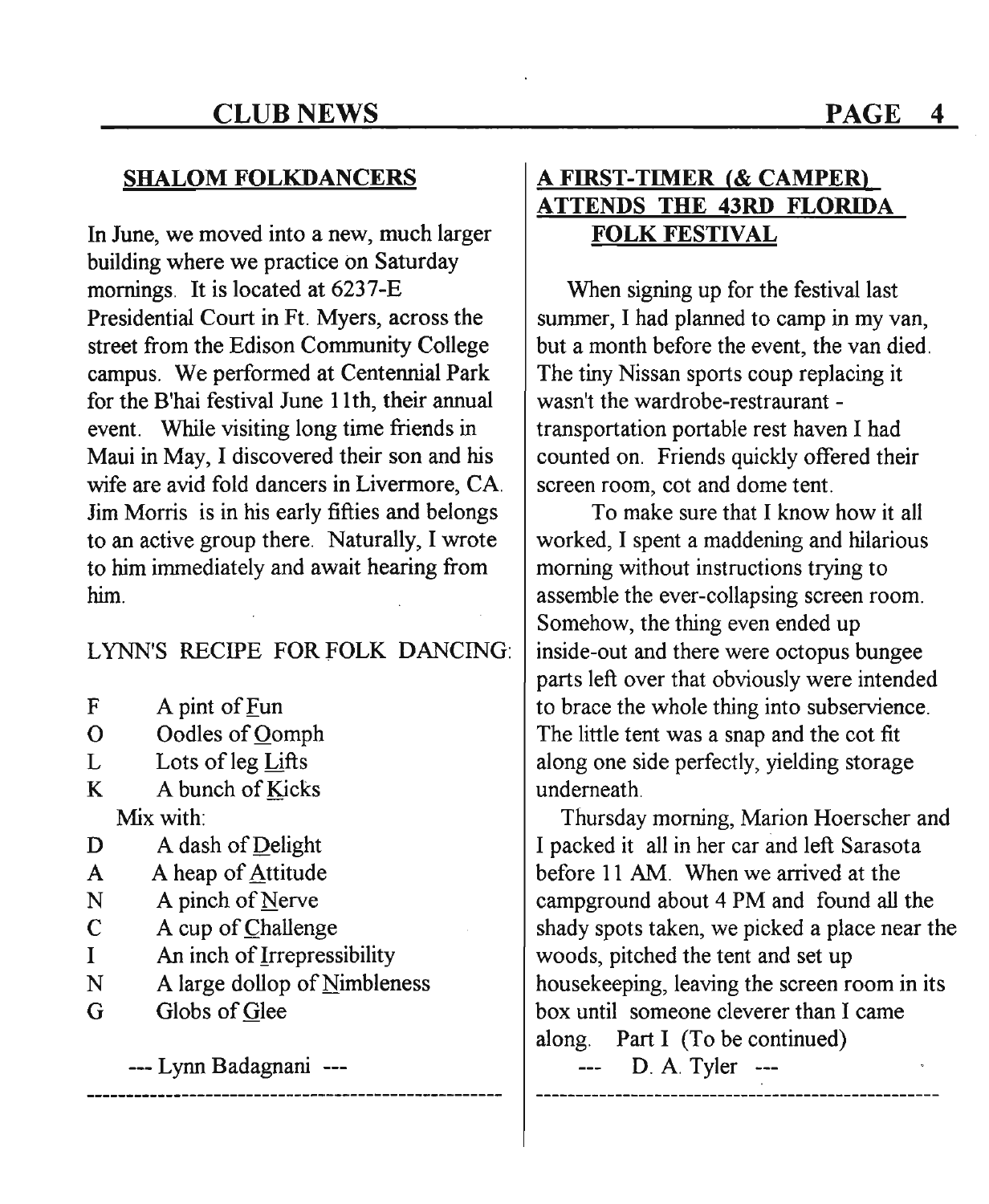### SHALOM FOLKDANCERS

In June, we moved into a new, much larger building where we practice on Saturday mornings. It is located at 6237-E Presidential Court in Ft. Myers, across the street from the Edison Community College campus. We performed at Centennial Park for the B'hai festival June 11th, their annual event. While visiting long time friends in Maui in May, I discovered their son and his wife are avid fold dancers in Livermore, CA. Jim Morris is in his early fifties and belongs to an active group there. Naturally, I wrote to him immediately and await hearing from him.

LYNN'S RECIPE FOR FOLK DANCING:

- F A pint of Fun
- o Oodles of Oomph
- L Lots of leg Lifts
- K A bunch of Kicks Mix with:
- D A dash of Delight
- A A heap of Attitude
- N A pinch of Nerve
- C A cup of Challenge
- I An inch of <u>I</u>rrepressibility
- N A large dollop of Nimbleness
- G Globs of Glee

--- Lynn Badagnani

### A FIRST-TIMER (& CAMPER) ATTENDS THE 43RD FLORIDA FOLK FESTIVAL

When signing up for the festival last summer, I had planned to camp in my van, but a month before the event, the van died. The tiny Nissan sports coup replacing it wasn't the wardrobe-restraurant transportation portable rest haven I had counted on. Friends quickly offered their screen room, cot and dome tent.

To make sure that I know how it all worked, I spent a maddening and hilarious morning without instructions trying to assemble the ever-collapsing screen room. Somehow, the thing even ended up inside-out and there were octopus bungee parts left over that obviously were intended to brace the whole thing into subservience. The little tent was a snap and the cot fit along one side perfectly, yielding storage underneath.

Thursday morning, Marion Hoerscher and I packed it all in her car and left Sarasota before 11 AM. When we arrived at the campground about 4 PM and found all the shady spots taken, we picked a place near the woods, pitched the tent and set up housekeeping, leaving the screen room in its box until someone cleverer than I came along. Part I (To be continued)

D. A. Tyler ---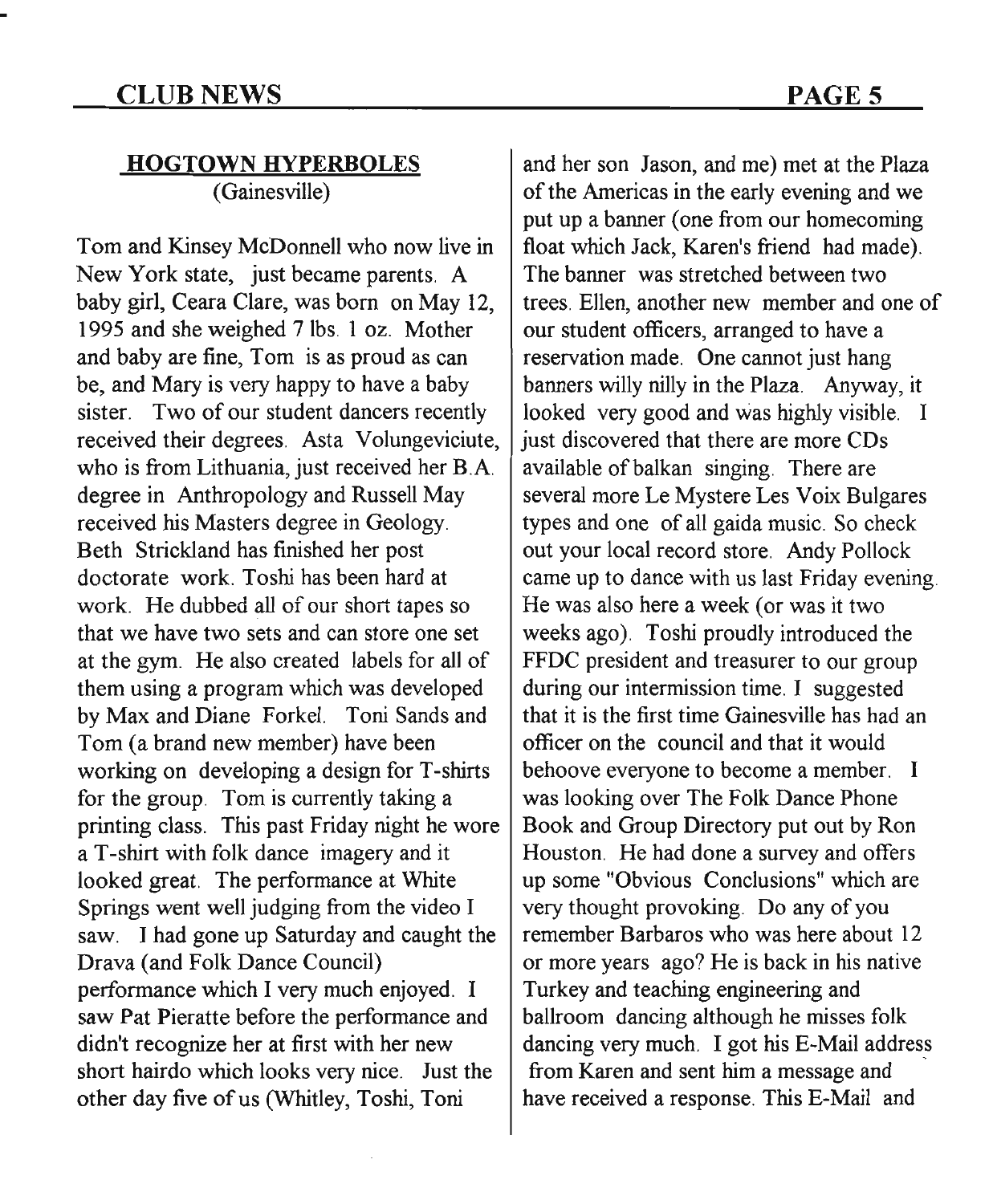## **HOGTOWN HYPERBOLES**

(Gainesville)

Tom and Kinsey McDonnell who now live in New York state, just became parents. A baby girl, Ceara Clare, was born on May 12, 1995 and she weighed 7 lbs. 1 oz. Mother and baby are fine, Tom is as proud as can be, and Mary is very happy to have a baby sister. Two of our student dancers recently received their degrees. Asta Volungeviciute, who is from Lithuania, just received her B.A. degree in Anthropology and Russell May received his Masters degree in Geology. Beth Strickland has finished her post doctorate work. Toshi has been hard at work. He dubbed all of our short tapes so that we have two sets and can store one set at the gym. He also created labels for all of them using a program which was developed by Max and Diane Forkel. Toni Sands and Tom (a brand new member) have been working on developing a design for T-shirts for the group. Tom is currently taking a printing class. This past Friday night he wore a T-shirt with folk dance imagery and it looked great. The performance at White Springs went well judging from the video I saw. I had gone up Saturday and caught the Drava (and Folk Dance Council) performance which I very much enjoyed. I saw Pat Pieratte before the performance and didn't recognize her at first with her new short hairdo which looks very nice. Just the other day five of us (Whitley, Toshi, Toni

and her son Jason, and me) met at the Plaza of the Americas in the early evening and we put up a banner (one from our homecoming float which Jack, Karen's friend had made). The banner was stretched between two trees. Ellen, another new member and one of our student officers, arranged to have a reservation made. One cannot just hang banners willy nilly in the Plaza. Anyway, it looked very good and was highly visible. I just discovered that there are more CDs available of balkan singing. There are several more Le Mystere Les Voix Bulgares types and one of all gaida music. So check out your local record store. Andy Pollock came up to dance with us last Friday evening. He was also here a week (or was it two weeks ago). Toshi proudly introduced the FFDC president and treasurer to our group during our intermission time. I suggested that it is the first time Gainesville has had an officer on the council and that it would behoove everyone to become a member. I was looking over The Folk Dance Phone Book and Group Directory put out by Ron Houston. He had done a survey and offers up some "Obvious Conclusions" which are very thought provoking. Do any of you remember Barbaros who was here about 12 or more years ago? He is back in his native Turkey and teaching engineering and ballroom dancing although he misses folk dancing very much. I got his E-Mail address from Karen and sent him a message and . have received a response. This E-Mail and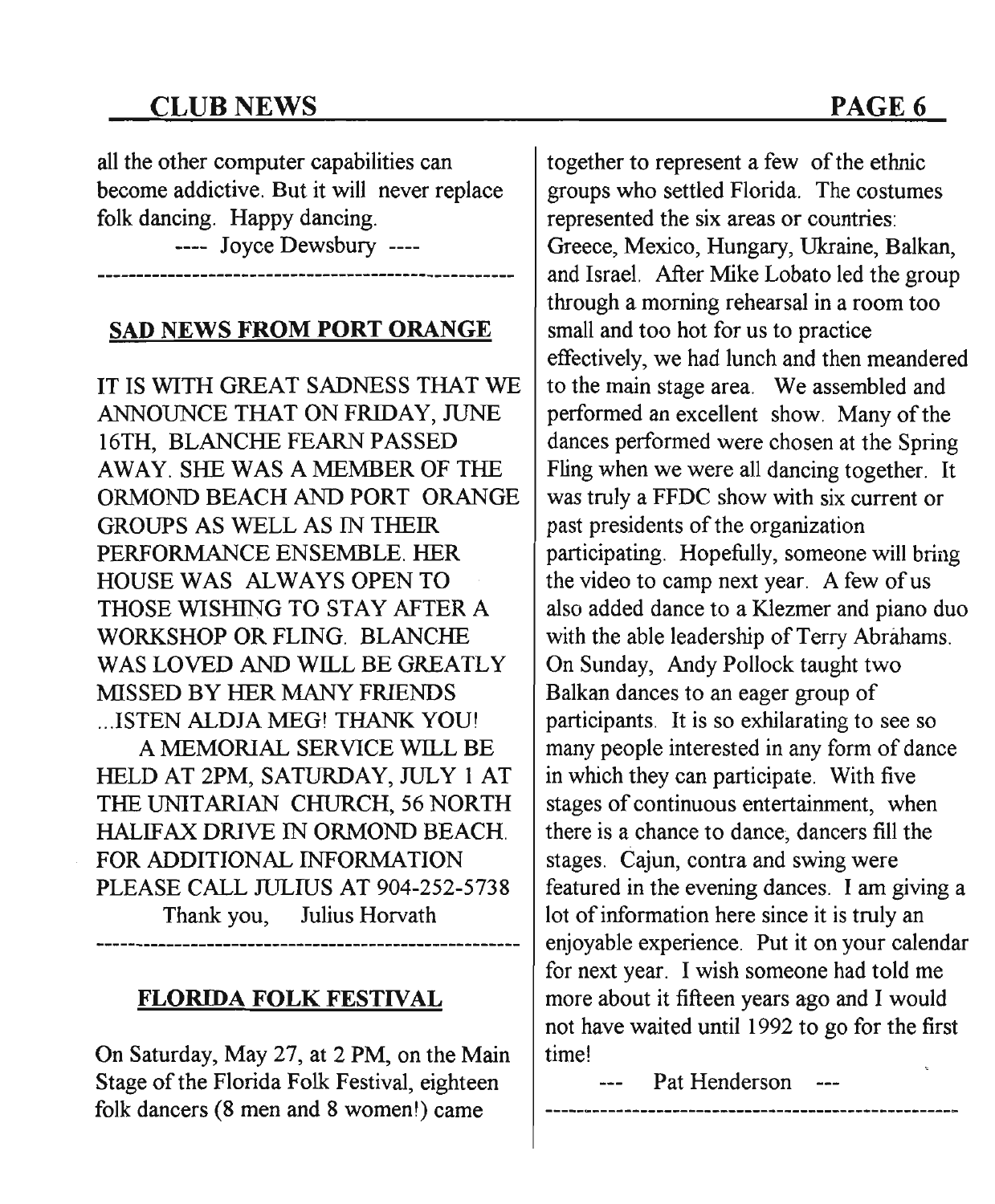### CLUB NEWS

all the other computer capabilities can become addictive. But it will never replace folk dancing. Happy dancing.

---- Joyce Dewsbury ----

### SAD NEWS FROM PORT ORANGE

IT IS WITH GREAT SADNESS THAT WE ANNOUNCE THAT ON FRIDAY, JUNE 16TH, BLANCHE FEARN PASSED AWAY. SHE WAS A MEMBER OF THE ORMOND BEACH AND PORT ORANGE GROUPS AS WELL AS IN THEIR PERFORMANCE ENSEMBLE. HER HOUSE WAS ALWAYS OPEN TO THOSE WISHING TO STAY AFTER A WORKSHOP OR FLING. BLANCHE WAS LOVED AND WILL BE GREATLY MISSED BY HER MANY FRIENDS ...ISTEN ALDJA MEG! THANK YOU! A MEMORIAL SERVICE WILL BE HELD AT 2PM, SATURDAY, JULY 1 AT THE UNITARIAN CHURCH, 56 NORTH HALIFAX DRIVE IN ORMOND BEACH. FOR ADDITIONAL INFORMATION PLEASE CALL JULIUS AT 904-252-5738 Thank you, Julius Horvath

### FLORIDA FOLK FESTIVAL

On Saturday, May 27, at 2 PM, on the Main Stage of the Florida Folk Festival, eighteen folk dancers (8 men and 8 women!) came

together to represent a few of the ethnic groups who settled Florida. The costumes represented the six areas or countries: Greece, Mexico, Hungary, Ukraine, Balkan, and Israel. After Mike Lobato led the group through a morning rehearsal in a room too small and too hot for us to practice effectively, we had lunch and then meandered to the main stage area. We assembled and performed an excellent show. Many of the dances performed were chosen at the Spring Fling when we were all dancing together. It was truly a FFDC show with six current or past presidents of the organization participating. Hopefully, someone will bring the video to camp next year. A few of us also added dance to a Klezmer and piano duo with the able leadership of Terry Abrahams. On Sunday, Andy Pollock taught two Balkan dances to an eager group of participants. It is so exhilarating to see so many people interested in any form of dance in which they can participate. With five stages of continuous entertainment, when there is a chance to dance, dancers fill the stages. Cajun, contra and swing were featured in the evening dances. I am giving a lot of information here since it is truly an enjoyable experience. Put it on your calendar for next year. I wish someone had told me more about it fifteen years ago and I would not have waited until 1992 to go for the first time!

--- Pat Henderson ---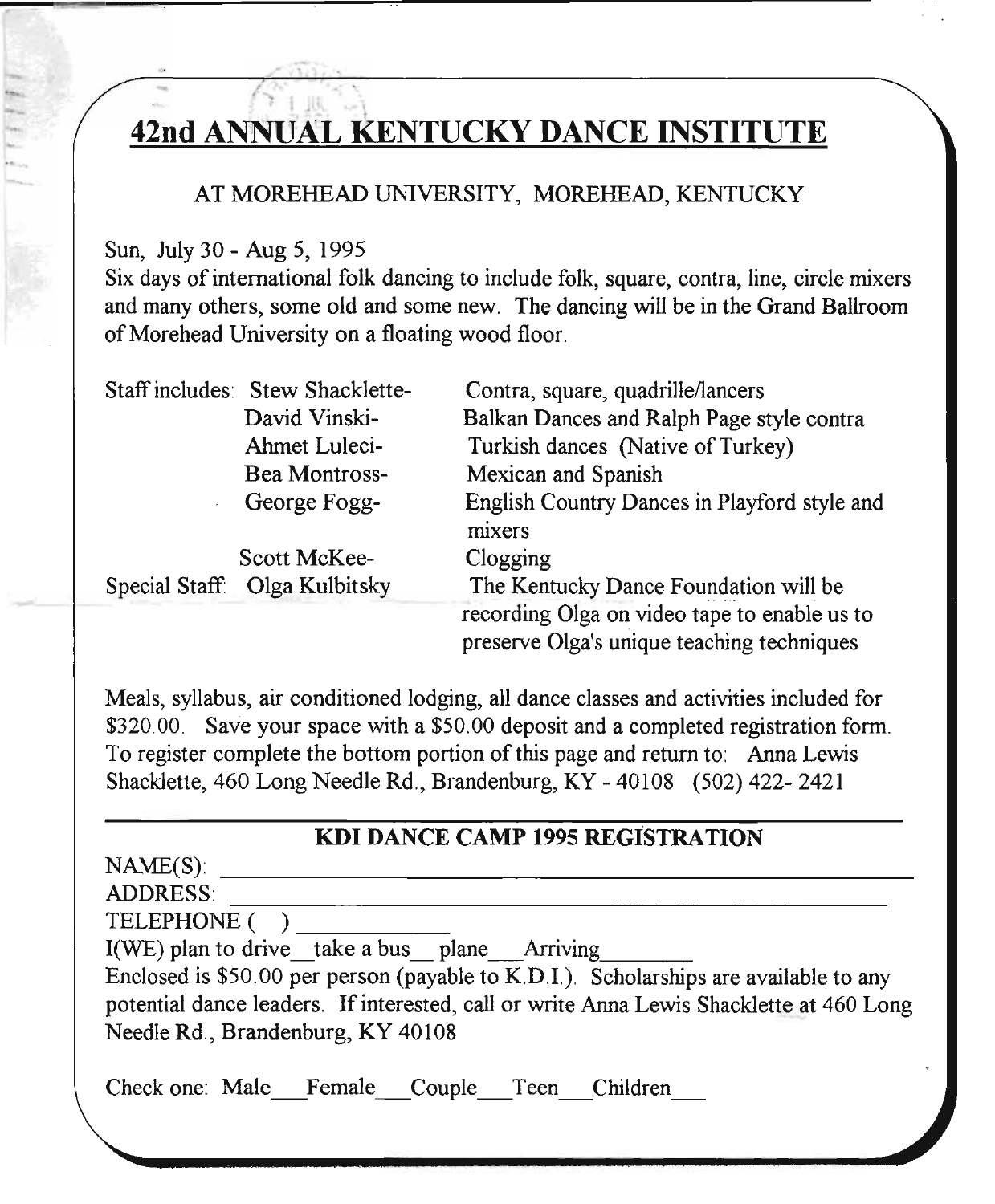#### $\frac{1}{1-\epsilon}$ I <u>42nd ANNUAL KENTUCKY DANCE INSTITUT</u>

### AT MOREHEAD UNIVERSITY, MOREHEAD, KENTUCKY

Sun, July 30 - Aug 5, 1995

("'"

Six days of international folk dancing to include folk, square, contra, line, circle mixers and many others, some old and some new. The dancing will be in the Grand Ballroom of Morehead University on a floating wood floor.

| Staff includes: Stew Shacklette- | Contra, square, quadrille/lancers                                                          |
|----------------------------------|--------------------------------------------------------------------------------------------|
| David Vinski-                    | Balkan Dances and Ralph Page style contra                                                  |
| Ahmet Luleci-                    | Turkish dances (Native of Turkey)                                                          |
| <b>Bea Montross-</b>             | Mexican and Spanish                                                                        |
| George Fogg-                     | English Country Dances in Playford style and                                               |
|                                  | mixers                                                                                     |
| Scott McKee-                     | Clogging                                                                                   |
| Special Staff: Olga Kulbitsky    | The Kentucky Dance Foundation will be                                                      |
|                                  | recording Olga on video tape to enable us to<br>preserve Olga's unique teaching techniques |

Meals, syllabus, air conditioned lodging, all dance classes and activities included for \$320.00. Save your space with a \$50.00 deposit and a completed registration form. To register complete the bottom portion of this page and return to: Anna Lewis Shacklette, 460 Long Needle Rd., Brandenburg, KY - 40108 (502) 422- 2421

### KDI DANCE CAMP 1995 REGISTRATION

 $NAME(S)$ :

ADDRESS:

TELEPHONE ()

 $I(WE)$  plan to drive take a bus plane Arriving

Enclosed is \$50.00 per person (payable to K.D.I.). Scholarships are available to any potential dance leaders. If interested, call or write Anna Lewis Shacklette at 460 Long Needle Rd., Brandenburg, KY 40108

Check one: Male Female Couple Teen Children